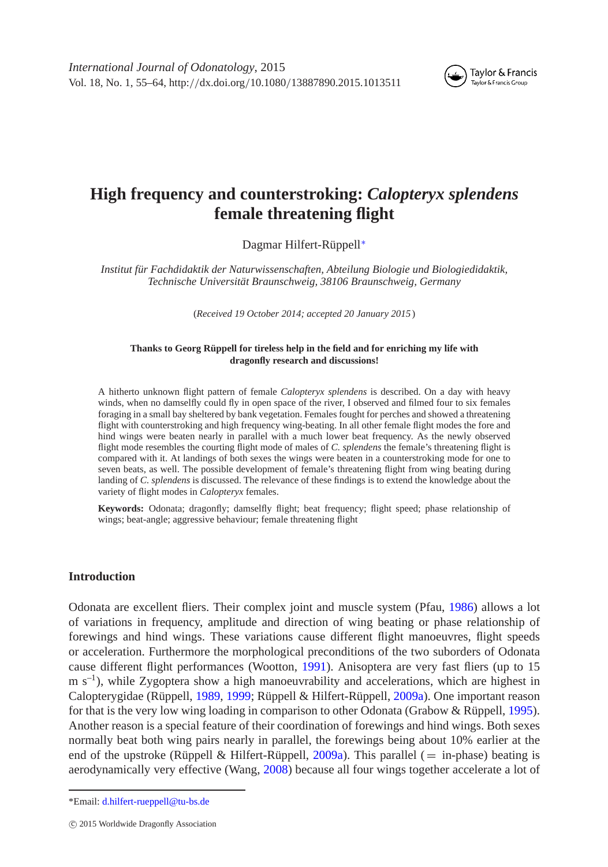

# **High frequency and counterstroking:** *Calopteryx splendens* **female threatening flight**

Dagmar Hilfert-Rüppell[∗](#page-0-0)

*Institut für Fachdidaktik der Naturwissenschaften, Abteilung Biologie und Biologiedidaktik, Technische Universität Braunschweig, 38106 Braunschweig, Germany*

(*Received 19 October 2014; accepted 20 January 2015* )

### **Thanks to Georg Rüppell for tireless help in the field and for enriching my life with dragonfly research and discussions!**

A hitherto unknown flight pattern of female *Calopteryx splendens* is described. On a day with heavy winds, when no damselfly could fly in open space of the river, I observed and filmed four to six females foraging in a small bay sheltered by bank vegetation. Females fought for perches and showed a threatening flight with counterstroking and high frequency wing-beating. In all other female flight modes the fore and hind wings were beaten nearly in parallel with a much lower beat frequency. As the newly observed flight mode resembles the courting flight mode of males of *C. splendens* the female's threatening flight is compared with it. At landings of both sexes the wings were beaten in a counterstroking mode for one to seven beats, as well. The possible development of female's threatening flight from wing beating during landing of *C. splendens* is discussed. The relevance of these findings is to extend the knowledge about the variety of flight modes in *Calopteryx* females.

**Keywords:** Odonata; dragonfly; damselfly flight; beat frequency; flight speed; phase relationship of wings; beat-angle; aggressive behaviour; female threatening flight

### **Introduction**

Odonata are excellent fliers. Their complex joint and muscle system (Pfau, [1986\)](#page-9-0) allows a lot of variations in frequency, amplitude and direction of wing beating or phase relationship of forewings and hind wings. These variations cause different flight manoeuvres, flight speeds or acceleration. Furthermore the morphological preconditions of the two suborders of Odonata cause different flight performances (Wootton, [1991\)](#page-9-1). Anisoptera are very fast fliers (up to 15  $m s^{-1}$ ), while Zygoptera show a high manoeuvrability and accelerations, which are highest in Calopterygidae (Rüppell, [1989,](#page-9-2) [1999;](#page-9-3) Rüppell & Hilfert-Rüppell, [2009a\)](#page-9-4). One important reason for that is the very low wing loading in comparison to other Odonata (Grabow & Rüppell, [1995\)](#page-8-0). Another reason is a special feature of their coordination of forewings and hind wings. Both sexes normally beat both wing pairs nearly in parallel, the forewings being about 10% earlier at the end of the upstroke (Rüppell & Hilfert-Rüppell, [2009a\)](#page-9-4). This parallel ( $=$  in-phase) beating is aerodynamically very effective (Wang, [2008\)](#page-9-5) because all four wings together accelerate a lot of

<span id="page-0-0"></span><sup>\*</sup>Email: [d.hilfert-rueppell@tu-bs.de](mailto:d.hilfert-rueppell@tu-bs.de)

c 2015 Worldwide Dragonfly Association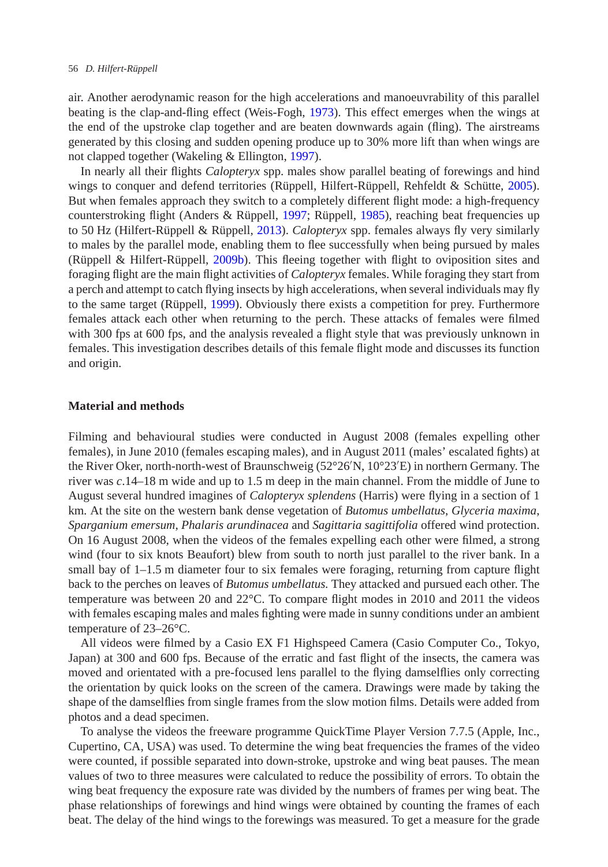air. Another aerodynamic reason for the high accelerations and manoeuvrability of this parallel beating is the clap-and-fling effect (Weis-Fogh, [1973\)](#page-9-6). This effect emerges when the wings at the end of the upstroke clap together and are beaten downwards again (fling). The airstreams generated by this closing and sudden opening produce up to 30% more lift than when wings are not clapped together (Wakeling & Ellington, [1997\)](#page-9-7).

In nearly all their flights *Calopteryx* spp. males show parallel beating of forewings and hind wings to conquer and defend territories (Rüppell, Hilfert-Rüppell, Rehfeldt & Schütte, [2005\)](#page-9-8). But when females approach they switch to a completely different flight mode: a high-frequency counterstroking flight (Anders & Rüppell, [1997;](#page-8-1) Rüppell, [1985\)](#page-9-9), reaching beat frequencies up to 50 Hz (Hilfert-Rüppell & Rüppell, [2013\)](#page-9-10). *Calopteryx* spp. females always fly very similarly to males by the parallel mode, enabling them to flee successfully when being pursued by males (Rüppell & Hilfert-Rüppell, [2009b\)](#page-9-11). This fleeing together with flight to oviposition sites and foraging flight are the main flight activities of *Calopteryx* females. While foraging they start from a perch and attempt to catch flying insects by high accelerations, when several individuals may fly to the same target (Rüppell, [1999\)](#page-9-3). Obviously there exists a competition for prey. Furthermore females attack each other when returning to the perch. These attacks of females were filmed with 300 fps at 600 fps, and the analysis revealed a flight style that was previously unknown in females. This investigation describes details of this female flight mode and discusses its function and origin.

### **Material and methods**

Filming and behavioural studies were conducted in August 2008 (females expelling other females), in June 2010 (females escaping males), and in August 2011 (males' escalated fights) at the River Oker, north-north-west of Braunschweig (52°26 N, 10°23 E) in northern Germany. The river was *c*.14–18 m wide and up to 1.5 m deep in the main channel. From the middle of June to August several hundred imagines of *Calopteryx splendens* (Harris) were flying in a section of 1 km*.* At the site on the western bank dense vegetation of *Butomus umbellatus*, *Glyceria maxima*, *Sparganium emersum*, *Phalaris arundinacea* and *Sagittaria sagittifolia* offered wind protection. On 16 August 2008, when the videos of the females expelling each other were filmed, a strong wind (four to six knots Beaufort) blew from south to north just parallel to the river bank. In a small bay of 1–1.5 m diameter four to six females were foraging, returning from capture flight back to the perches on leaves of *Butomus umbellatus.* They attacked and pursued each other. The temperature was between 20 and 22°C. To compare flight modes in 2010 and 2011 the videos with females escaping males and males fighting were made in sunny conditions under an ambient temperature of 23–26°C.

All videos were filmed by a Casio EX F1 Highspeed Camera (Casio Computer Co., Tokyo, Japan) at 300 and 600 fps. Because of the erratic and fast flight of the insects, the camera was moved and orientated with a pre-focused lens parallel to the flying damselflies only correcting the orientation by quick looks on the screen of the camera. Drawings were made by taking the shape of the damselflies from single frames from the slow motion films. Details were added from photos and a dead specimen.

To analyse the videos the freeware programme QuickTime Player Version 7.7.5 (Apple, Inc., Cupertino, CA, USA) was used. To determine the wing beat frequencies the frames of the video were counted, if possible separated into down-stroke, upstroke and wing beat pauses. The mean values of two to three measures were calculated to reduce the possibility of errors. To obtain the wing beat frequency the exposure rate was divided by the numbers of frames per wing beat. The phase relationships of forewings and hind wings were obtained by counting the frames of each beat. The delay of the hind wings to the forewings was measured. To get a measure for the grade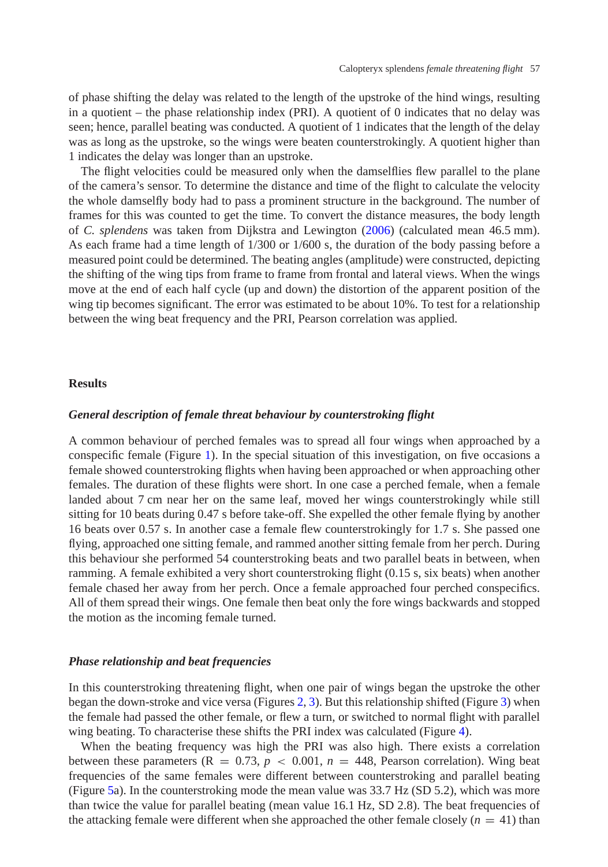of phase shifting the delay was related to the length of the upstroke of the hind wings, resulting in a quotient – the phase relationship index (PRI). A quotient of 0 indicates that no delay was seen; hence, parallel beating was conducted. A quotient of 1 indicates that the length of the delay was as long as the upstroke, so the wings were beaten counterstrokingly. A quotient higher than 1 indicates the delay was longer than an upstroke.

The flight velocities could be measured only when the damselflies flew parallel to the plane of the camera's sensor. To determine the distance and time of the flight to calculate the velocity the whole damselfly body had to pass a prominent structure in the background. The number of frames for this was counted to get the time. To convert the distance measures, the body length of *C. splendens* was taken from Dijkstra and Lewington [\(2006\)](#page-8-2) (calculated mean 46.5 mm). As each frame had a time length of 1/300 or 1/600 s, the duration of the body passing before a measured point could be determined. The beating angles (amplitude) were constructed, depicting the shifting of the wing tips from frame to frame from frontal and lateral views. When the wings move at the end of each half cycle (up and down) the distortion of the apparent position of the wing tip becomes significant. The error was estimated to be about 10%. To test for a relationship between the wing beat frequency and the PRI, Pearson correlation was applied.

### **Results**

### *General description of female threat behaviour by counterstroking flight*

A common behaviour of perched females was to spread all four wings when approached by a conspecific female (Figure [1\)](#page-3-0). In the special situation of this investigation, on five occasions a female showed counterstroking flights when having been approached or when approaching other females. The duration of these flights were short. In one case a perched female, when a female landed about 7 cm near her on the same leaf, moved her wings counterstrokingly while still sitting for 10 beats during 0.47 s before take-off. She expelled the other female flying by another 16 beats over 0.57 s. In another case a female flew counterstrokingly for 1.7 s. She passed one flying, approached one sitting female, and rammed another sitting female from her perch. During this behaviour she performed 54 counterstroking beats and two parallel beats in between, when ramming. A female exhibited a very short counterstroking flight (0.15 s, six beats) when another female chased her away from her perch. Once a female approached four perched conspecifics. All of them spread their wings. One female then beat only the fore wings backwards and stopped the motion as the incoming female turned.

### *Phase relationship and beat frequencies*

In this counterstroking threatening flight, when one pair of wings began the upstroke the other began the down-stroke and vice versa (Figures [2,](#page-4-0) [3\)](#page-4-1). But this relationship shifted (Figure 3) when the female had passed the other female, or flew a turn, or switched to normal flight with parallel wing beating. To characterise these shifts the PRI index was calculated (Figure [4\)](#page-5-0).

When the beating frequency was high the PRI was also high. There exists a correlation between these parameters ( $R = 0.73$ ,  $p < 0.001$ ,  $n = 448$ , Pearson correlation). Wing beat frequencies of the same females were different between counterstroking and parallel beating (Figure [5a](#page-5-1)). In the counterstroking mode the mean value was 33.7 Hz (SD 5.2), which was more than twice the value for parallel beating (mean value 16.1 Hz, SD 2.8). The beat frequencies of the attacking female were different when she approached the other female closely  $(n = 41)$  than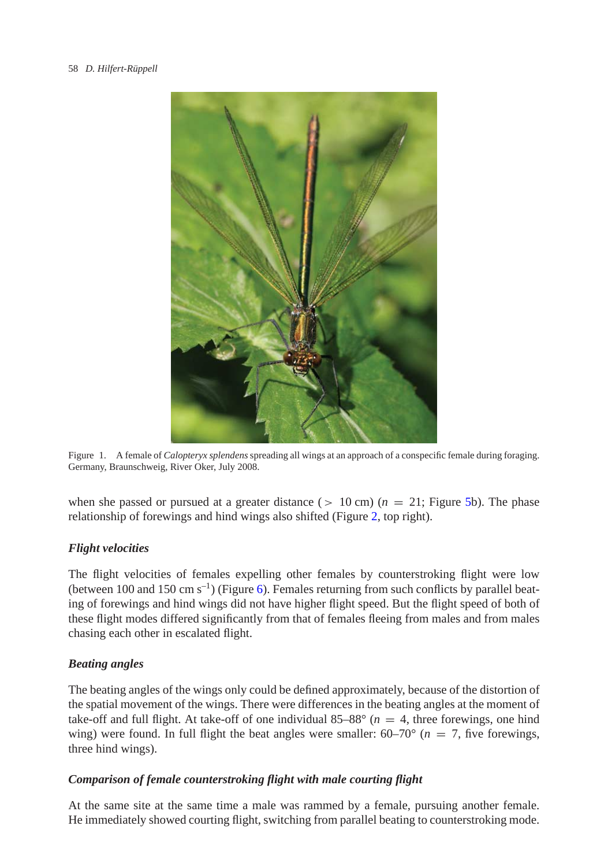

Figure 1. A female of *Calopteryx splendens* spreading all wings at an approach of a conspecific female during foraging. Germany, Braunschweig, River Oker, July 2008.

<span id="page-3-0"></span>when she passed or pursued at a greater distance ( $> 10 \text{ cm}$ ) ( $n = 21$ ; Figure [5b](#page-5-1)). The phase relationship of forewings and hind wings also shifted (Figure [2,](#page-4-0) top right).

## *Flight velocities*

The flight velocities of females expelling other females by counterstroking flight were low (between 100 and 150 cm  $s^{-1}$ ) (Figure [6\)](#page-6-0). Females returning from such conflicts by parallel beating of forewings and hind wings did not have higher flight speed. But the flight speed of both of these flight modes differed significantly from that of females fleeing from males and from males chasing each other in escalated flight.

# *Beating angles*

The beating angles of the wings only could be defined approximately, because of the distortion of the spatial movement of the wings. There were differences in the beating angles at the moment of take-off and full flight. At take-off of one individual  $85-88^\circ$  ( $n=4$ , three forewings, one hind wing) were found. In full flight the beat angles were smaller:  $60-70^\circ$  ( $n = 7$ , five forewings, three hind wings).

## *Comparison of female counterstroking flight with male courting flight*

At the same site at the same time a male was rammed by a female, pursuing another female. He immediately showed courting flight, switching from parallel beating to counterstroking mode.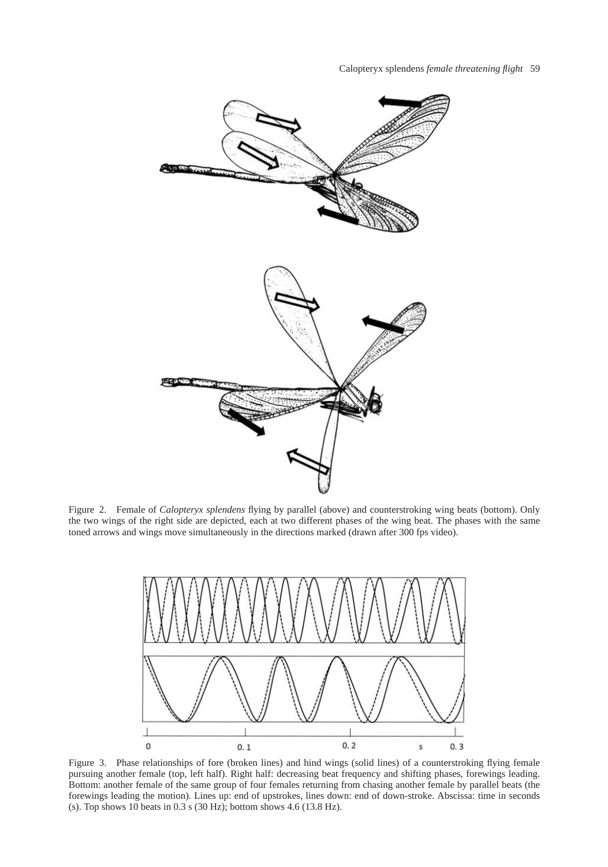

<span id="page-4-0"></span>Figure 2. Female of *Calopteryx splendens* flying by parallel (above) and counterstroking wing beats (bottom). Only the two wings of the right side are depicted, each at two different phases of the wing beat. The phases with the same toned arrows and wings move simultaneously in the directions marked (drawn after 300 fps video).



<span id="page-4-1"></span>Figure 3. Phase relationships of fore (broken lines) and hind wings (solid lines) of a counterstroking flying female pursuing another female (top, left half). Right half: decreasing beat frequency and shifting phases, forewings leading. Bottom: another female of the same group of four females returning from chasing another female by parallel beats (the forewings leading the motion). Lines up: end of upstrokes, lines down: end of down-stroke. Abscissa: time in seconds (s). Top shows 10 beats in 0.3 s (30 Hz); bottom shows 4.6 (13.8 Hz).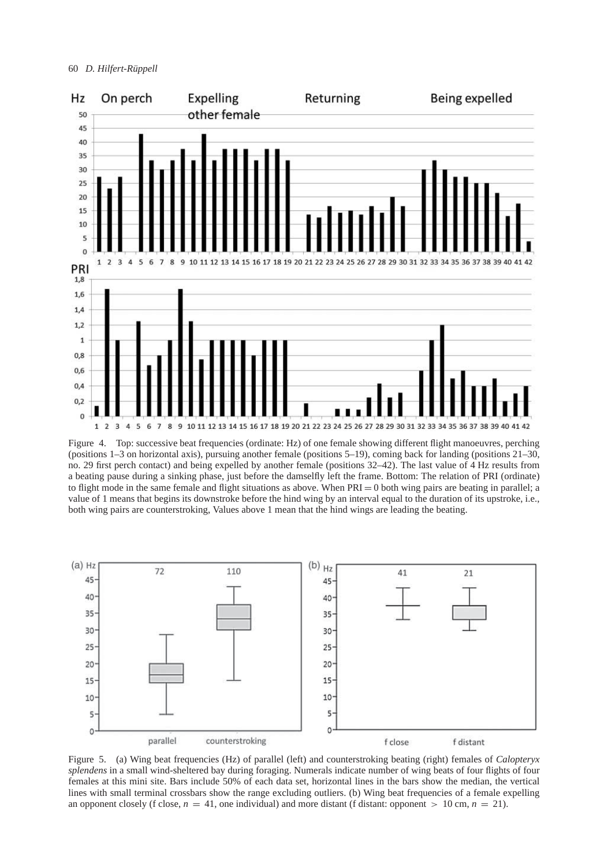

<span id="page-5-0"></span>Figure 4. Top: successive beat frequencies (ordinate: Hz) of one female showing different flight manoeuvres, perching (positions 1–3 on horizontal axis), pursuing another female (positions 5–19), coming back for landing (positions 21–30, no. 29 first perch contact) and being expelled by another female (positions 32–42). The last value of 4 Hz results from a beating pause during a sinking phase, just before the damselfly left the frame. Bottom: The relation of PRI (ordinate) to flight mode in the same female and flight situations as above. When  $PRI = 0$  both wing pairs are beating in parallel; a value of 1 means that begins its downstroke before the hind wing by an interval equal to the duration of its upstroke, i.e., both wing pairs are counterstroking, Values above 1 mean that the hind wings are leading the beating.



<span id="page-5-1"></span>Figure 5. (a) Wing beat frequencies (Hz) of parallel (left) and counterstroking beating (right) females of *Calopteryx splendens* in a small wind-sheltered bay during foraging. Numerals indicate number of wing beats of four flights of four females at this mini site. Bars include 50% of each data set, horizontal lines in the bars show the median, the vertical lines with small terminal crossbars show the range excluding outliers. (b) Wing beat frequencies of a female expelling an opponent closely (f close,  $n = 41$ , one individual) and more distant (f distant: opponent  $> 10$  cm,  $n = 21$ ).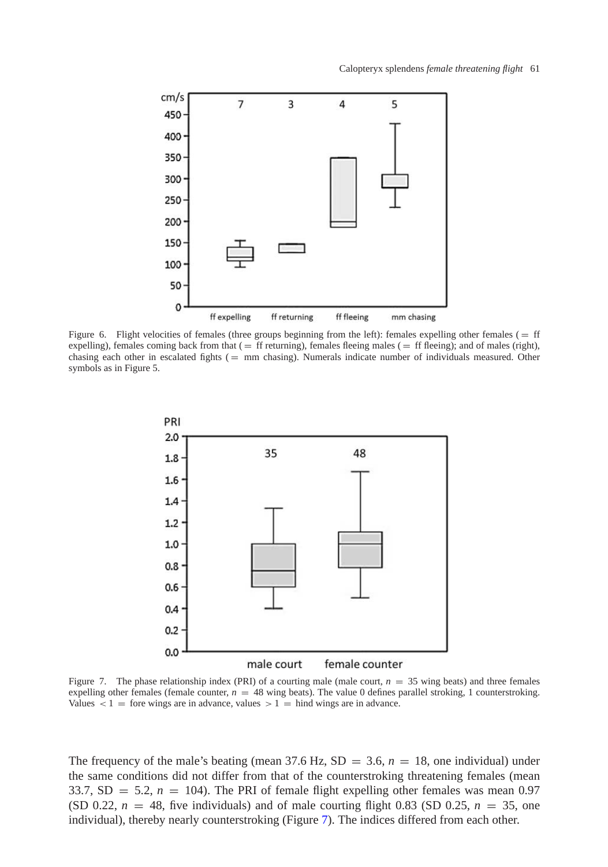

<span id="page-6-0"></span>Figure 6. Flight velocities of females (three groups beginning from the left): females expelling other females ( $=$  ff expelling), females coming back from that  $($  = ff returning), females fleeing males  $($  = ff fleeing); and of males (right), chasing each other in escalated fights (= mm chasing). Numerals indicate number of individuals measured. Other symbols as in Figure 5.



<span id="page-6-1"></span>Figure 7. The phase relationship index (PRI) of a courting male (male court,  $n = 35$  wing beats) and three females expelling other females (female counter,  $n = 48$  wing beats). The value 0 defines parallel stroking, 1 counterstroking. Values  $\langle 1 \rangle$  = fore wings are in advance, values  $\langle 1 \rangle$  = hind wings are in advance.

The frequency of the male's beating (mean  $37.6$  Hz,  $SD = 3.6$ ,  $n = 18$ , one individual) under the same conditions did not differ from that of the counterstroking threatening females (mean 33.7, SD  $= 5.2$ ,  $n = 104$ ). The PRI of female flight expelling other females was mean 0.97 (SD 0.22,  $n = 48$ , five individuals) and of male courting flight 0.83 (SD 0.25,  $n = 35$ , one individual), thereby nearly counterstroking (Figure [7\)](#page-6-1). The indices differed from each other.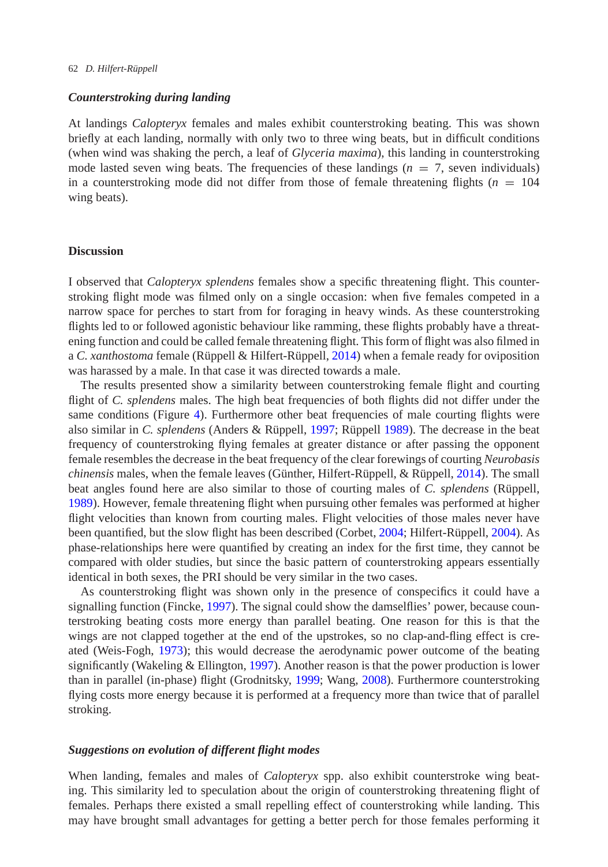#### 62 *D. Hilfert-Rüppell*

### *Counterstroking during landing*

At landings *Calopteryx* females and males exhibit counterstroking beating. This was shown briefly at each landing, normally with only two to three wing beats, but in difficult conditions (when wind was shaking the perch, a leaf of *Glyceria maxima*), this landing in counterstroking mode lasted seven wing beats. The frequencies of these landings  $(n = 7)$ , seven individuals) in a counterstroking mode did not differ from those of female threatening flights  $(n = 104)$ wing beats).

### **Discussion**

I observed that *Calopteryx splendens* females show a specific threatening flight. This counterstroking flight mode was filmed only on a single occasion: when five females competed in a narrow space for perches to start from for foraging in heavy winds. As these counterstroking flights led to or followed agonistic behaviour like ramming, these flights probably have a threatening function and could be called female threatening flight. This form of flight was also filmed in a *C. xanthostoma* female (Rüppell & Hilfert-Rüppell, [2014\)](#page-9-12) when a female ready for oviposition was harassed by a male. In that case it was directed towards a male.

The results presented show a similarity between counterstroking female flight and courting flight of *C. splendens* males. The high beat frequencies of both flights did not differ under the same conditions (Figure [4\)](#page-5-0). Furthermore other beat frequencies of male courting flights were also similar in *C. splendens* (Anders & Rüppell, [1997;](#page-8-1) Rüppell [1989\)](#page-9-2). The decrease in the beat frequency of counterstroking flying females at greater distance or after passing the opponent female resembles the decrease in the beat frequency of the clear forewings of courting *Neurobasis chinensis* males, when the female leaves (Günther, Hilfert-Rüppell, & Rüppell, [2014\)](#page-9-13). The small beat angles found here are also similar to those of courting males of *C. splendens* (Rüppell, [1989\)](#page-9-2). However, female threatening flight when pursuing other females was performed at higher flight velocities than known from courting males. Flight velocities of those males never have been quantified, but the slow flight has been described (Corbet, [2004;](#page-8-3) Hilfert-Rüppell, [2004\)](#page-9-14). As phase-relationships here were quantified by creating an index for the first time, they cannot be compared with older studies, but since the basic pattern of counterstroking appears essentially identical in both sexes, the PRI should be very similar in the two cases.

As counterstroking flight was shown only in the presence of conspecifics it could have a signalling function (Fincke, [1997\)](#page-8-4). The signal could show the damselflies' power, because counterstroking beating costs more energy than parallel beating. One reason for this is that the wings are not clapped together at the end of the upstrokes, so no clap-and-fling effect is created (Weis-Fogh, [1973\)](#page-9-6); this would decrease the aerodynamic power outcome of the beating significantly (Wakeling & Ellington, [1997\)](#page-9-7). Another reason is that the power production is lower than in parallel (in-phase) flight (Grodnitsky, [1999;](#page-8-5) Wang, [2008\)](#page-9-5). Furthermore counterstroking flying costs more energy because it is performed at a frequency more than twice that of parallel stroking.

### *Suggestions on evolution of different flight modes*

When landing, females and males of *Calopteryx* spp. also exhibit counterstroke wing beating. This similarity led to speculation about the origin of counterstroking threatening flight of females. Perhaps there existed a small repelling effect of counterstroking while landing. This may have brought small advantages for getting a better perch for those females performing it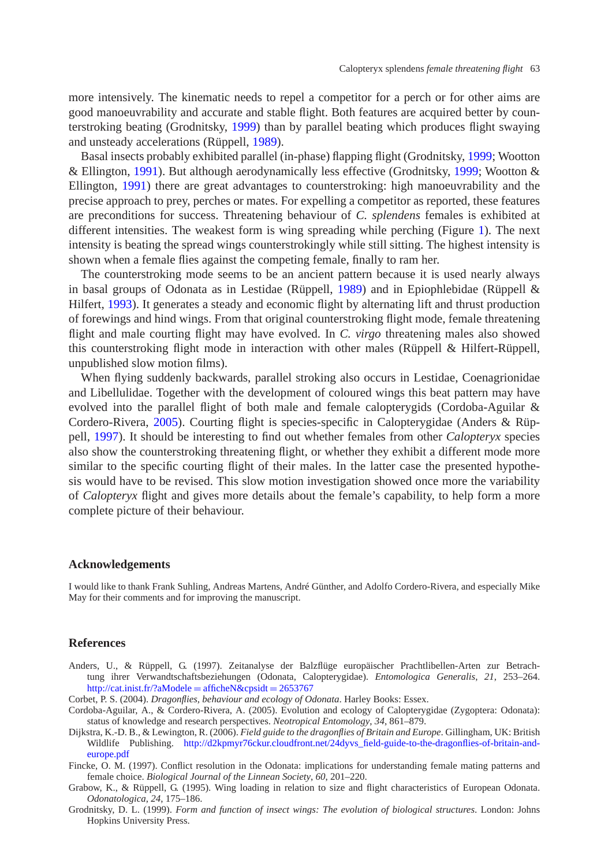more intensively. The kinematic needs to repel a competitor for a perch or for other aims are good manoeuvrability and accurate and stable flight. Both features are acquired better by counterstroking beating (Grodnitsky, [1999\)](#page-8-5) than by parallel beating which produces flight swaying and unsteady accelerations (Rüppell, [1989\)](#page-9-2).

Basal insects probably exhibited parallel (in-phase) flapping flight (Grodnitsky, [1999;](#page-8-5) Wootton & Ellington, [1991\)](#page-9-15). But although aerodynamically less effective (Grodnitsky, [1999;](#page-8-5) Wootton & Ellington, [1991\)](#page-9-15) there are great advantages to counterstroking: high manoeuvrability and the precise approach to prey, perches or mates. For expelling a competitor as reported, these features are preconditions for success. Threatening behaviour of *C. splendens* females is exhibited at different intensities. The weakest form is wing spreading while perching (Figure [1\)](#page-3-0). The next intensity is beating the spread wings counterstrokingly while still sitting. The highest intensity is shown when a female flies against the competing female, finally to ram her.

The counterstroking mode seems to be an ancient pattern because it is used nearly always in basal groups of Odonata as in Lestidae (Rüppell, [1989\)](#page-9-2) and in Epiophlebidae (Rüppell & Hilfert, [1993\)](#page-9-16). It generates a steady and economic flight by alternating lift and thrust production of forewings and hind wings. From that original counterstroking flight mode, female threatening flight and male courting flight may have evolved. In *C. virgo* threatening males also showed this counterstroking flight mode in interaction with other males (Rüppell & Hilfert-Rüppell, unpublished slow motion films).

When flying suddenly backwards, parallel stroking also occurs in Lestidae, Coenagrionidae and Libellulidae. Together with the development of coloured wings this beat pattern may have evolved into the parallel flight of both male and female calopterygids (Cordoba-Aguilar & Cordero-Rivera, [2005\)](#page-8-6). Courting flight is species-specific in Calopterygidae (Anders & Rüppell, [1997\)](#page-8-1). It should be interesting to find out whether females from other *Calopteryx* species also show the counterstroking threatening flight, or whether they exhibit a different mode more similar to the specific courting flight of their males. In the latter case the presented hypothesis would have to be revised. This slow motion investigation showed once more the variability of *Calopteryx* flight and gives more details about the female's capability, to help form a more complete picture of their behaviour.

### **Acknowledgements**

I would like to thank Frank Suhling, Andreas Martens, André Günther, and Adolfo Cordero-Rivera, and especially Mike May for their comments and for improving the manuscript.

### **References**

- <span id="page-8-1"></span>Anders, U., & Rüppell, G. (1997). Zeitanalyse der Balzflüge europäischer Prachtlibellen-Arten zur Betrachtung ihrer Verwandtschaftsbeziehungen (Odonata, Calopterygidae). *Entomologica Generalis*, *21*, 253–264. [http://cat.inist.fr/?aModele](http://cat.inist.fr/?aModele=afficheN&cpsidt=2653767) = afficheN&cpsidt = 2653767
- Corbet, P. S. (2004). *Dragonflies, behaviour and ecology of Odonata*. Harley Books: Essex.
- <span id="page-8-6"></span><span id="page-8-3"></span>Cordoba-Aguilar, A., & Cordero-Rivera, A. (2005). Evolution and ecology of Calopterygidae (Zygoptera: Odonata): status of knowledge and research perspectives. *Neotropical Entomology*, *34*, 861–879.
- <span id="page-8-2"></span>Dijkstra, K.-D. B., & Lewington, R. (2006). *Field guide to the dragonflies of Britain and Europe*. Gillingham, UK: British Wildlife Publishing. [http://d2kpmyr76ckur.cloudfront.net/24dyvs\\_field-guide-to-the-dragonflies-of-britain-and](http://d2kpmyr76ckur.cloudfront.net/24dyvs_field-guide-to-the-dragonflies-of-britain-and-europe.pdf)[europe.pdf](http://d2kpmyr76ckur.cloudfront.net/24dyvs_field-guide-to-the-dragonflies-of-britain-and-europe.pdf)
- <span id="page-8-4"></span>Fincke, O. M. (1997). Conflict resolution in the Odonata: implications for understanding female mating patterns and female choice. *Biological Journal of the Linnean Society*, *60*, 201–220.
- <span id="page-8-0"></span>Grabow, K., & Rüppell, G. (1995). Wing loading in relation to size and flight characteristics of European Odonata. *Odonatologica*, *24*, 175–186.
- <span id="page-8-5"></span>Grodnitsky, D. L. (1999). *Form and function of insect wings: The evolution of biological structures*. London: Johns Hopkins University Press.